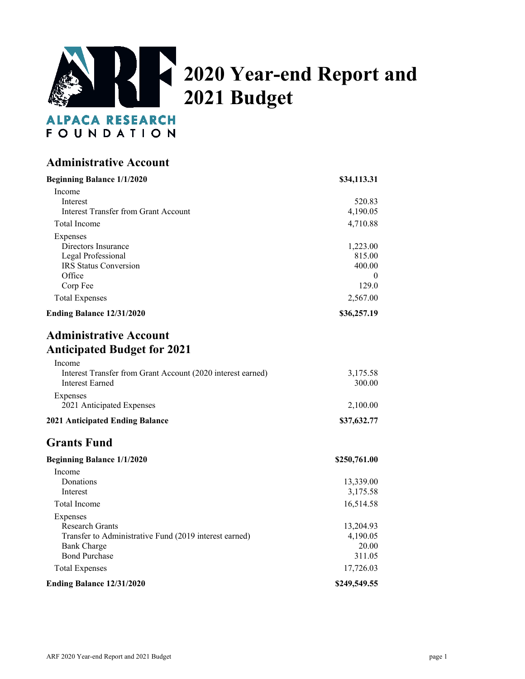

| <b>Administrative Account</b>                                                                                                              |                                                   |
|--------------------------------------------------------------------------------------------------------------------------------------------|---------------------------------------------------|
| <b>Beginning Balance 1/1/2020</b>                                                                                                          | \$34,113.31                                       |
| Income<br>Interest<br><b>Interest Transfer from Grant Account</b>                                                                          | 520.83<br>4,190.05                                |
| Total Income                                                                                                                               | 4,710.88                                          |
| Expenses<br>Directors Insurance<br>Legal Professional<br>IRS Status Conversion<br>Office<br>Corp Fee                                       | 1,223.00<br>815.00<br>400.00<br>$\theta$<br>129.0 |
| <b>Total Expenses</b>                                                                                                                      | 2,567.00                                          |
| Ending Balance 12/31/2020                                                                                                                  | \$36,257.19                                       |
| <b>Administrative Account</b><br><b>Anticipated Budget for 2021</b><br>Income                                                              |                                                   |
| Interest Transfer from Grant Account (2020 interest earned)<br>Interest Earned                                                             | 3,175.58<br>300.00                                |
| Expenses<br>2021 Anticipated Expenses                                                                                                      | 2,100.00                                          |
| <b>2021 Anticipated Ending Balance</b>                                                                                                     | \$37,632.77                                       |
| <b>Grants Fund</b>                                                                                                                         |                                                   |
| <b>Beginning Balance 1/1/2020</b>                                                                                                          | \$250,761.00                                      |
| Income<br>Donations<br>Interest                                                                                                            | 13,339.00<br>3,175.58                             |
| <b>Total Income</b>                                                                                                                        | 16,514.58                                         |
| Expenses<br><b>Research Grants</b><br>Transfer to Administrative Fund (2019 interest earned)<br><b>Bank Charge</b><br><b>Bond Purchase</b> | 13,204.93<br>4,190.05<br>20.00<br>311.05          |
| <b>Total Expenses</b>                                                                                                                      | 17,726.03                                         |
| Ending Balance 12/31/2020                                                                                                                  | \$249,549.55                                      |